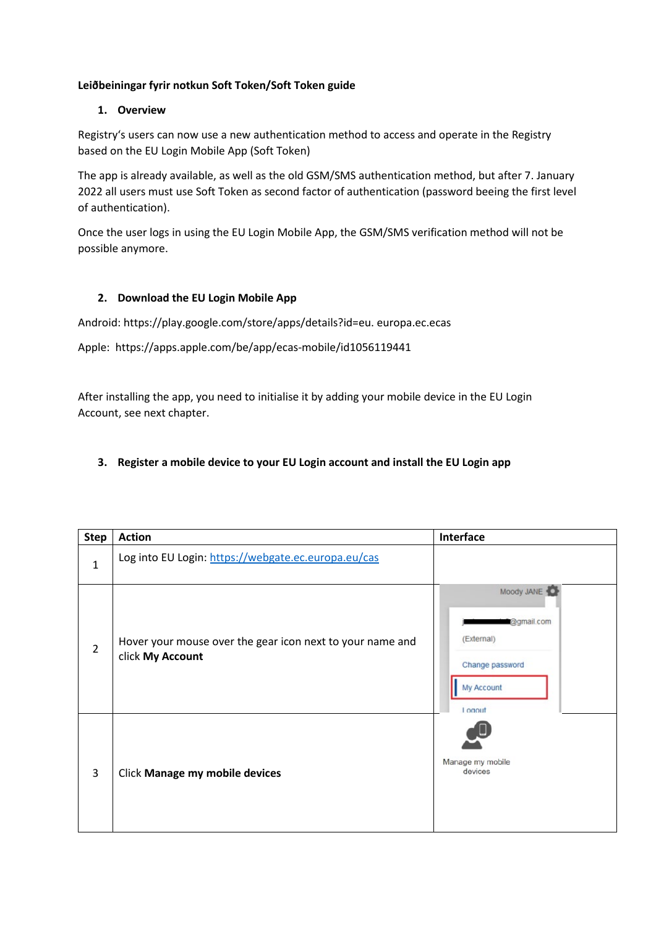#### **Leiðbeiningar fyrir notkun Soft Token/Soft Token guide**

#### **1. Overview**

Registry's users can now use a new authentication method to access and operate in the Registry based on the EU Login Mobile App (Soft Token)

The app is already available, as well as the old GSM/SMS authentication method, but after 7. January 2022 all users must use Soft Token as second factor of authentication (password beeing the first level of authentication).

Once the user logs in using the EU Login Mobile App, the GSM/SMS verification method will not be possible anymore.

## **2. Download the EU Login Mobile App**

Android: https://play.google.com/store/apps/details?id=eu. europa.ec.ecas

Apple: https://apps.apple.com/be/app/ecas-mobile/id1056119441

After installing the app, you need to initialise it by adding your mobile device in the EU Login Account, see next chapter.

## **3. Register a mobile device to your EU Login account and install the EU Login app**

| <b>Step</b>    | <b>Action</b>                                                                 | Interface                                                                         |
|----------------|-------------------------------------------------------------------------------|-----------------------------------------------------------------------------------|
| $\mathbf{1}$   | Log into EU Login: https://webgate.ec.europa.eu/cas                           |                                                                                   |
| $\overline{2}$ | Hover your mouse over the gear icon next to your name and<br>click My Account | Moody JANE<br>@gmail.com<br>(External)<br>Change password<br>My Account<br>Logout |
| 3              | Click Manage my mobile devices                                                | Manage my mobile<br>devices                                                       |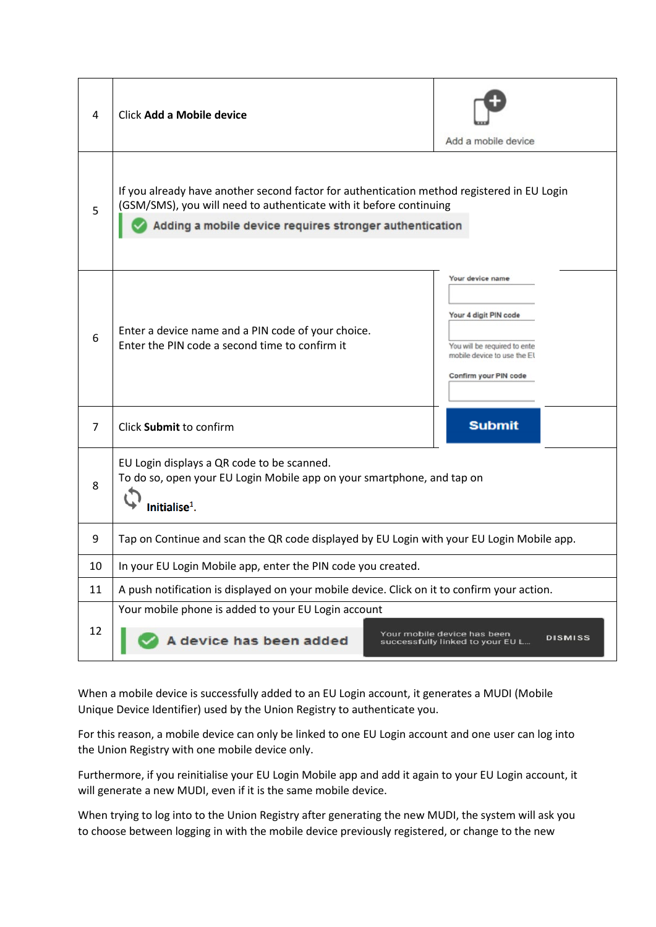| 4              | Click Add a Mobile device                                                                                                                                                                                                   | Add a mobile device                                                                                                               |  |
|----------------|-----------------------------------------------------------------------------------------------------------------------------------------------------------------------------------------------------------------------------|-----------------------------------------------------------------------------------------------------------------------------------|--|
| 5              | If you already have another second factor for authentication method registered in EU Login<br>(GSM/SMS), you will need to authenticate with it before continuing<br>Adding a mobile device requires stronger authentication |                                                                                                                                   |  |
| 6              | Enter a device name and a PIN code of your choice.<br>Enter the PIN code a second time to confirm it                                                                                                                        | Your device name<br>Your 4 digit PIN code<br>You will be required to ente<br>mobile device to use the El<br>Confirm your PIN code |  |
| $\overline{7}$ | Click Submit to confirm                                                                                                                                                                                                     | <b>Submit</b>                                                                                                                     |  |
| 8              | EU Login displays a QR code to be scanned.<br>To do so, open your EU Login Mobile app on your smartphone, and tap on<br>Initialise $1$ .                                                                                    |                                                                                                                                   |  |
| 9              | Tap on Continue and scan the QR code displayed by EU Login with your EU Login Mobile app.                                                                                                                                   |                                                                                                                                   |  |
| 10             | In your EU Login Mobile app, enter the PIN code you created.                                                                                                                                                                |                                                                                                                                   |  |
| 11             | A push notification is displayed on your mobile device. Click on it to confirm your action.                                                                                                                                 |                                                                                                                                   |  |
| 12             | Your mobile phone is added to your EU Login account<br>Your mobile device has been<br><b>DISMISS</b><br>A device has been added<br>successfully linked to your EU L                                                         |                                                                                                                                   |  |

When a mobile device is successfully added to an EU Login account, it generates a MUDI (Mobile Unique Device Identifier) used by the Union Registry to authenticate you.

For this reason, a mobile device can only be linked to one EU Login account and one user can log into the Union Registry with one mobile device only.

Furthermore, if you reinitialise your EU Login Mobile app and add it again to your EU Login account, it will generate a new MUDI, even if it is the same mobile device.

When trying to log into to the Union Registry after generating the new MUDI, the system will ask you to choose between logging in with the mobile device previously registered, or change to the new